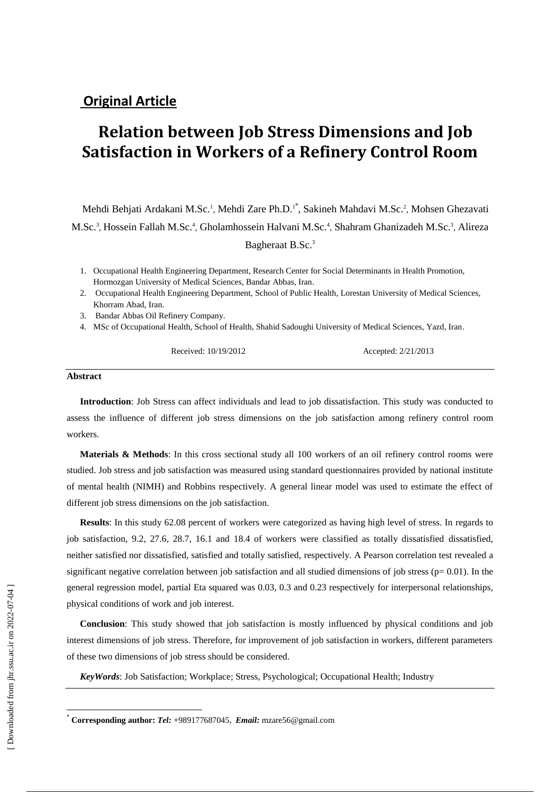# **Original Article**

# **Relation between Job Stress Dimensions and Job Satisfaction in Workers of a Refinery Control Room**

Mehdi Behjati Ardakani M.Sc.<sup>1</sup>, Mehdi Zare Ph.D.<sup>1\*</sup>, Sakineh Mahdavi M.Sc.<sup>2</sup>, Mohsen Ghezavati M.Sc.<sup>3</sup>, Hossein Fallah M.Sc.<sup>4</sup>, Gholamhossein Halvani M.Sc.<sup>4</sup>, Shahram Ghanizadeh M.Sc.<sup>3</sup>, Alireza Bagheraat B.Sc.<sup>3</sup>

- 1. Occupational Health Engineering Department, Research Center for Social Determinants in Health Promotion, Hormozgan University of Medical Sciences, Bandar Abbas, Iran.
- 2. Occupational Health Engineering Department, School of Public Health, Lorestan University of Medical Sciences, Khorram Abad, Iran.
- 3. Bandar Abbas Oil Refinery Company.
- 4. MSc of Occupational Health, School of Health, Shahid Sadoughi University of Medical Sciences, Yazd, Iran.

Received: 10/19/2012 Accepted: 2/21/2013

#### **Abstract**

**Introduction**: Job Stress can affect individuals and lead to job dissatisfaction. This study was conducted to assess the influence of different job stress dimensions on the job satisfaction among refinery control room workers.

**Materials & Methods**: In this cross sectional study all 100 workers of an oil refinery control rooms were studied. Job stress and job satisfaction was measured using standard questionnaires provided by national institute of mental health (NIMH) and Robbins respectively. A general linear model was used to estimate the effect of different job stress dimensions on the job satisfaction.

**Results**: In this study 62.08 percent of workers were categorized as having high level of stress. In regards to job satisfaction, 9.2, 27.6, 28.7, 16.1 and 18.4 of workers were classified as totally dissatisfied dissatisfied, neither satisfied nor dissatisfied, satisfied and totally satisfied, respectively. A Pearson correlation test revealed a significant negative correlation between job satisfaction and all studied dimensions of job stress ( $p= 0.01$ ). In the general regression model, partial Eta squared was 0.03, 0.3 and 0.23 respectively for interpersonal relationships, physical conditions of work and job interest.

**Conclusion**: This study showed that job satisfaction is mostly influenced by physical conditions and job interest dimensions of job stress. Therefore, for improvement of job satisfaction in workers, different parameters of these two dimensions of job stress should be considered.

*KeyWords*: Job Satisfaction; Workplace; Stress, Psychological; Occupational Health; Industry

 $\overline{a}$ 

<sup>\*</sup> **Corresponding author:** *Tel:* +989177687045, *Email:* [mzare56@gmail.com](mailto:mzare56@gmail.com)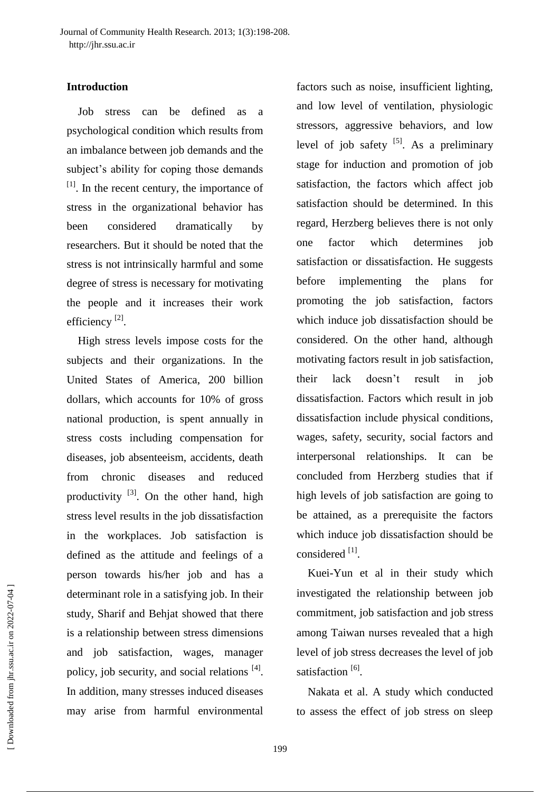# **Introduction**

Job stress can be defined as a psychological condition which results from an imbalance between job demands and the subject's ability for coping those demands  $<sup>[1]</sup>$ . In the recent century, the importance of</sup> stress in the organizational behavior has been considered dramatically by researchers. But it should be noted that the stress is not intrinsically harmful and some degree of stress is necessary for motivating the people and it increases their work efficiency<sup>[2]</sup>.

High stress levels impose costs for the subjects and their organizations. In the United States of America, 200 billion dollars, which accounts for 10% of gross national production, is spent annually in stress costs including compensation for diseases, job absenteeism, accidents, death from chronic diseases and reduced productivity  $^{[3]}$ . On the other hand, high stress level results in the job dissatisfaction in the workplaces. Job satisfaction is defined as the attitude and feelings of a person towards his/her job and has a determinant role in a satisfying job. In their study, Sharif and Behjat showed that there is a relationship between stress dimensions and job satisfaction, wages, manager policy, job security, and social relations <sup>[4]</sup>. In addition, many stresses induced diseases may arise from harmful environmental

factors such as noise, insufficient lighting, and low level of ventilation, physiologic stressors, aggressive behaviors, and low level of job safety  $[5]$ . As a preliminary stage for induction and promotion of job satisfaction, the factors which affect job satisfaction should be determined. In this regard, Herzberg believes there is not only one factor which determines job satisfaction or dissatisfaction. He suggests before implementing the plans for promoting the job satisfaction, factors which induce job dissatisfaction should be considered. On the other hand, although motivating factors result in job satisfaction, their lack doesn't result in job dissatisfaction. Factors which result in job dissatisfaction include physical conditions, wages, safety, security, social factors and interpersonal relationships. It can be concluded from Herzberg studies that if high levels of job satisfaction are going to be attained, as a prerequisite the factors which induce job dissatisfaction should be considered [1].

Kuei-Yun et al in their study which investigated the relationship between job commitment, job satisfaction and job stress among Taiwan nurses revealed that a high level of job stress decreases the level of job satisfaction<sup>[6]</sup>.

Nakata et al. A study which conducted to assess the effect of job stress on sleep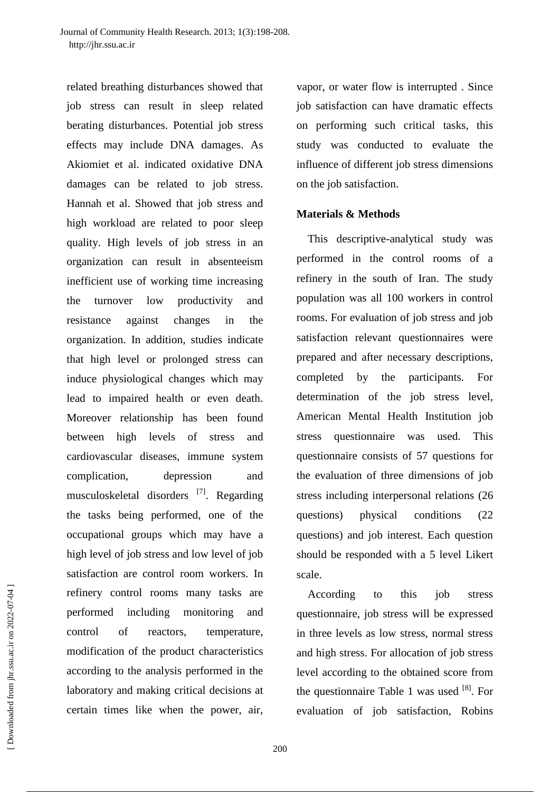related breathing disturbances showed that job stress can result in sleep related berating disturbances. Potential job stress effects may include DNA damages. As Akiomiet et al. indicated oxidative DNA damages can be related to job stress. Hannah et al. Showed that job stress and high workload are related to poor sleep quality. High levels of job stress in an organization can result in absenteeism inefficient use of working time increasing the turnover low productivity and resistance against changes in the organization. In addition, studies indicate that high level or prolonged stress can induce physiological changes which may lead to impaired health or even death. Moreover relationship has been found between high levels of stress and cardiovascular diseases, immune system complication, depression and musculoskeletal disorders<sup>[7]</sup>. Regarding the tasks being performed, one of the occupational groups which may have a high level of job stress and low level of job satisfaction are control room workers. In refinery control rooms many tasks are performed including monitoring and control of reactors, temperature, modification of the product characteristics according to the analysis performed in the laboratory and making critical decisions at certain times like when the power, air,

vapor, or water flow is interrupted . Since job satisfaction can have dramatic effects on performing such critical tasks, this study was conducted to evaluate the influence of different job stress dimensions on the job satisfaction.

#### **Materials & Methods**

This descriptive-analytical study was performed in the control rooms of a refinery in the south of Iran. The study population was all 100 workers in control rooms. For evaluation of job stress and job satisfaction relevant questionnaires were prepared and after necessary descriptions, completed by the participants. For determination of the job stress level, American Mental Health Institution job stress questionnaire was used. This questionnaire consists of 57 questions for the evaluation of three dimensions of job stress including interpersonal relations (26 questions) physical conditions (22 questions) and job interest. Each question should be responded with a 5 level Likert scale.

According to this job stress questionnaire, job stress will be expressed in three levels as low stress, normal stress and high stress. For allocation of job stress level according to the obtained score from the questionnaire Table 1 was used  $[8]$ . For evaluation of job satisfaction, Robins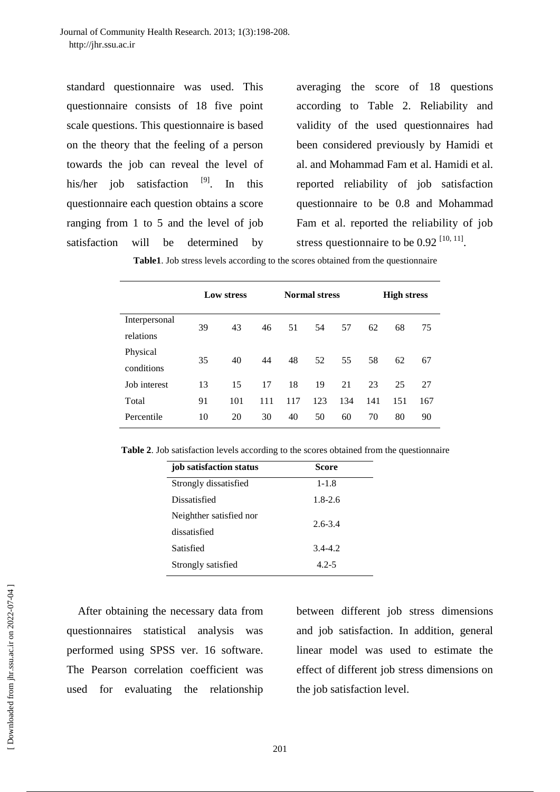standard questionnaire was used. This questionnaire consists of 18 five point scale questions. This questionnaire is based on the theory that the feeling of a person towards the job can reveal the level of his/her job satisfaction <sup>[9]</sup>. In this questionnaire each question obtains a score ranging from 1 to 5 and the level of job satisfaction will be determined by

averaging the score of 18 questions according to Table 2. Reliability and validity of the used questionnaires had been considered previously by Hamidi et al. and Mohammad Fam et al. Hamidi et al. reported reliability of job satisfaction questionnaire to be 0.8 and Mohammad Fam et al. reported the reliability of job stress questionnaire to be  $0.92$   $[10, 11]$ .

| Table1. Job stress levels according to the scores obtained from the questionnaire |  |  |
|-----------------------------------------------------------------------------------|--|--|
|-----------------------------------------------------------------------------------|--|--|

|               | Low stress |     |     | <b>Normal stress</b> |     |     | <b>High stress</b> |     |     |
|---------------|------------|-----|-----|----------------------|-----|-----|--------------------|-----|-----|
| Interpersonal | 39         | 43  | 46  | 51                   | 54  | 57  | 62                 | 68  | 75  |
| relations     |            |     |     |                      |     |     |                    |     |     |
| Physical      |            | 40  | 44  | 48                   | 52  | 55  | 58                 | 62  |     |
| conditions    | 35         |     |     |                      |     |     |                    |     | 67  |
| Job interest  | 13         | 15  | 17  | 18                   | 19  | 21  | 23                 | 25  | 27  |
| Total         | 91         | 101 | 111 | 117                  | 123 | 134 | 141                | 151 | 167 |
| Percentile    | 10         | 20  | 30  | 40                   | 50  | 60  | 70                 | 80  | 90  |

**Table 2**. Job satisfaction levels according to the scores obtained from the questionnaire

| job satisfaction status | Score       |
|-------------------------|-------------|
| Strongly dissatisfied   | $1 - 1.8$   |
| Dissatisfied            | $1.8 - 2.6$ |
| Neighther satisfied nor | $2.6 - 3.4$ |
| dissatisfied            |             |
| Satisfied               | $3.4 - 4.2$ |
| Strongly satisfied      | $4.2 - 5$   |

After obtaining the necessary data from questionnaires statistical analysis was performed using SPSS ver. 16 software. The Pearson correlation coefficient was used for evaluating the relationship

between different job stress dimensions and job satisfaction. In addition, general linear model was used to estimate the effect of different job stress dimensions on the job satisfaction level.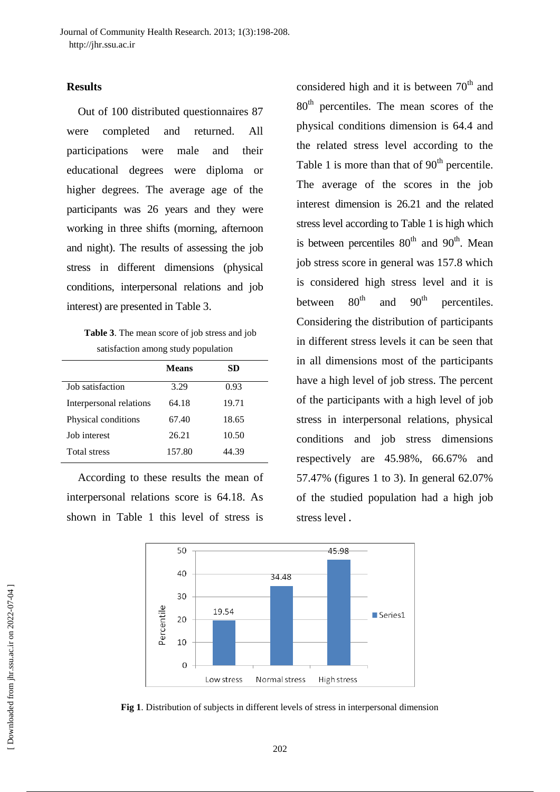# **Results**

Out of 100 distributed questionnaires 87 were completed and returned. All participations were male and their educational degrees were diploma or higher degrees. The average age of the participants was 26 years and they were working in three shifts (morning, afternoon and night). The results of assessing the job stress in different dimensions (physical conditions, interpersonal relations and job interest) are presented in Table 3.

**Table 3**. The mean score of job stress and job satisfaction among study population

|                         | <b>Means</b> | SD    |
|-------------------------|--------------|-------|
| Job satisfaction        | 3.29         | 0.93  |
| Interpersonal relations | 64.18        | 19.71 |
| Physical conditions     | 67.40        | 18.65 |
| <b>Job</b> interest     | 26.21        | 10.50 |
| <b>Total stress</b>     | 157.80       | 44.39 |

According to these results the mean of interpersonal relations score is 64.18. As shown in Table 1 this level of stress is

considered high and it is between  $70<sup>th</sup>$  and 80<sup>th</sup> percentiles. The mean scores of the physical conditions dimension is 64.4 and the related stress level according to the Table 1 is more than that of  $90<sup>th</sup>$  percentile. The average of the scores in the job interest dimension is 26.21 and the related stress level according to Table 1 is high which is between percentiles  $80<sup>th</sup>$  and  $90<sup>th</sup>$ . Mean job stress score in general was 157.8 which is considered high stress level and it is between  $80^{th}$  and  $90^{th}$  percentiles. Considering the distribution of participants in different stress levels it can be seen that in all dimensions most of the participants have a high level of job stress. The percent of the participants with a high level of job stress in interpersonal relations, physical conditions and job stress dimensions respectively are 45.98%, 66.67% and 57.47% (figures 1 to 3). In general 62.07% of the studied population had a high job stress level **.**



**Fig 1**. Distribution of subjects in different levels of stress in interpersonal dimension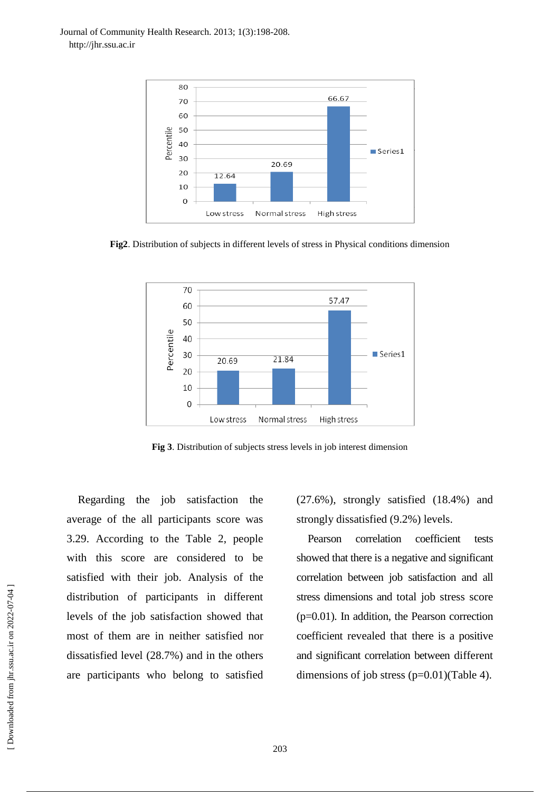

**Fig2**. Distribution of subjects in different levels of stress in Physical conditions dimension



**Fig 3**. Distribution of subjects stress levels in job interest dimension

Regarding the job satisfaction the average of the all participants score was 3.29. According to the Table 2, people with this score are considered to be satisfied with their job. Analysis of the distribution of participants in different levels of the job satisfaction showed that most of them are in neither satisfied nor dissatisfied level (28.7%) and in the others are participants who belong to satisfied

(27.6%), strongly satisfied (18.4%) and strongly dissatisfied (9.2%) levels.

Pearson correlation coefficient tests showed that there is a negative and significant correlation between job satisfaction and all stress dimensions and total job stress score (p=0.01). In addition, the Pearson correction coefficient revealed that there is a positive and significant correlation between different dimensions of job stress  $(p=0.01)$ (Table 4).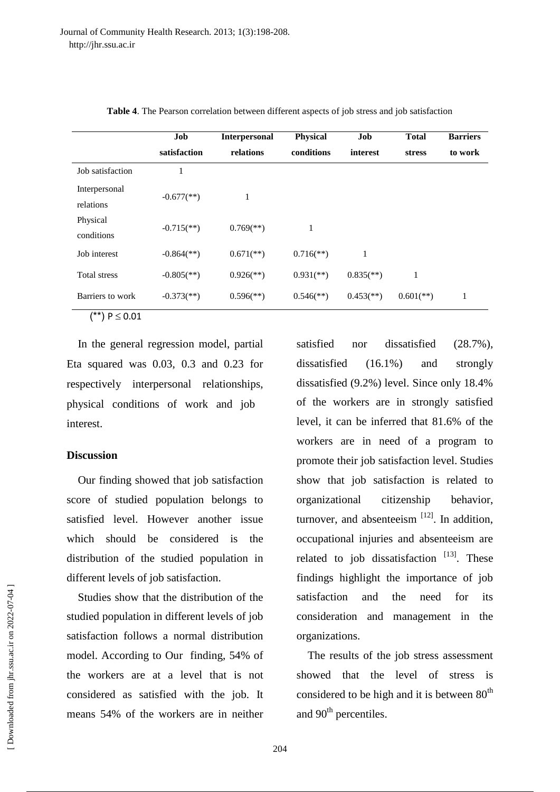|                  | Job                        | <b>Interpersonal</b>      | <b>Physical</b>           |                           | <b>Total</b>              | <b>Barriers</b> |  |
|------------------|----------------------------|---------------------------|---------------------------|---------------------------|---------------------------|-----------------|--|
|                  | satisfaction               | relations                 | conditions                | interest                  | stress                    | to work         |  |
| Job satisfaction |                            |                           |                           |                           |                           |                 |  |
| Interpersonal    | $-0.677$ <sup>**</sup> )   | 1                         |                           |                           |                           |                 |  |
| relations        |                            |                           |                           |                           |                           |                 |  |
| Physical         | $-0.715$ <sup>**</sup> )   | $0.769$ <sup>**</sup> )   | 1                         |                           |                           |                 |  |
| conditions       |                            |                           |                           |                           |                           |                 |  |
| Job interest     | $-0.864$ <sup>(**)</sup> ) | $0.671$ <sup>**</sup> )   | $0.716$ <sup>**</sup> )   | 1                         |                           |                 |  |
| Total stress     | $-0.805$ <sup>(**)</sup> ) | $0.926$ <sup>(**)</sup> ) | $0.931$ <sup>(**)</sup> ) | $0.835$ <sup>(**)</sup> ) | 1                         |                 |  |
| Barriers to work | $-0.373$ <sup>**</sup> )   | $0.596$ <sup>(**)</sup> ) | $0.546$ <sup>**</sup> )   | $0.453$ <sup>(**)</sup> ) | $0.601$ <sup>(**)</sup> ) | 1               |  |

**Table 4**. The Pearson correlation between different aspects of job stress and job satisfaction

 $(**) P \le 0.01$ 

In the general regression model, partial Eta squared was 0.03, 0.3 and 0.23 for respectively interpersonal relationships, physical conditions of work and job interest.

### **Discussion**

Our finding showed that job satisfaction score of studied population belongs to satisfied level. However another issue which should be considered is the distribution of the studied population in different levels of job satisfaction.

Studies show that the distribution of the studied population in different levels of job satisfaction follows a normal distribution model. According to Our finding, 54% of the workers are at a level that is not considered as satisfied with the job. It means 54% of the workers are in neither satisfied nor dissatisfied  $(28.7\%)$ , dissatisfied (16.1%) and strongly dissatisfied (9.2%) level. Since only 18.4% of the workers are in strongly satisfied level, it can be inferred that 81.6% of the workers are in need of a program to promote their job satisfaction level. Studies show that job satisfaction is related to organizational citizenship behavior, turnover, and absenteeism  $[12]$ . In addition, occupational injuries and absenteeism are related to job dissatisfaction  $[13]$ . These findings highlight the importance of job satisfaction and the need for its consideration and management in the organizations.

The results of the job stress assessment showed that the level of stress is considered to be high and it is between  $80<sup>th</sup>$ and  $90<sup>th</sup>$  percentiles.

 [\[ Downloaded from jhr.ssu.ac.ir on 2022-0](https://jhr.ssu.ac.ir/article-1-67-fa.html)7-04 ] Downloaded from jhr.ssu.ac.ir on 2022-07-04 ]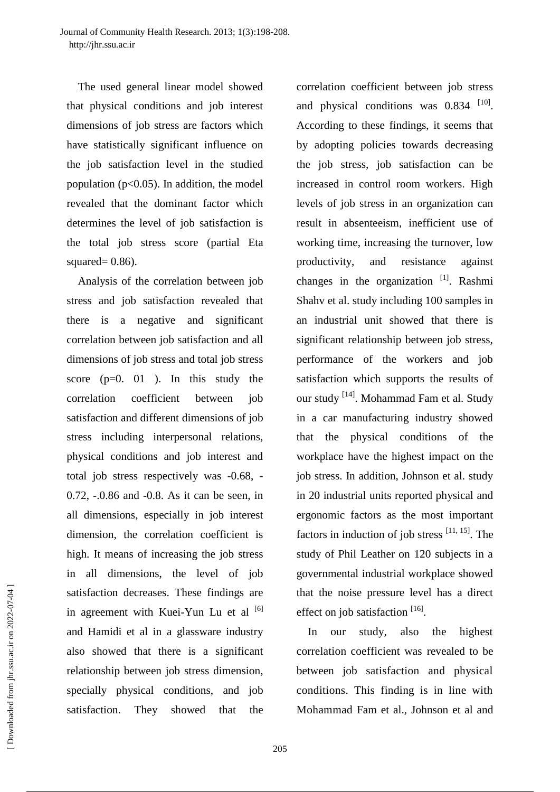The used general linear model showed that physical conditions and job interest dimensions of job stress are factors which have statistically significant influence on the job satisfaction level in the studied population ( $p<0.05$ ). In addition, the model revealed that the dominant factor which determines the level of job satisfaction is the total job stress score (partial Eta squared $= 0.86$ ).

Analysis of the correlation between job stress and job satisfaction revealed that there is a negative and significant correlation between job satisfaction and all dimensions of job stress and total job stress score  $(p=0, 01)$ . In this study the correlation coefficient between job satisfaction and different dimensions of job stress including interpersonal relations, physical conditions and job interest and total job stress respectively was -0.68, - 0.72, -.0.86 and -0.8. As it can be seen, in all dimensions, especially in job interest dimension, the correlation coefficient is high. It means of increasing the job stress in all dimensions, the level of job satisfaction decreases. These findings are in agreement with Kuei-Yun Lu et al  $\left[6\right]$ and Hamidi et al in a glassware industry also showed that there is a significant relationship between job stress dimension, specially physical conditions, and job satisfaction. They showed that the

correlation coefficient between job stress and physical conditions was  $0.834$ <sup>[10]</sup>. According to these findings, it seems that by adopting policies towards decreasing the job stress, job satisfaction can be increased in control room workers. High levels of job stress in an organization can result in absenteeism, inefficient use of working time, increasing the turnover, low productivity, and resistance against changes in the organization<sup>[1]</sup>. Rashmi Shahv et al. study including 100 samples in an industrial unit showed that there is significant relationship between job stress, performance of the workers and job satisfaction which supports the results of our study <sup>[14]</sup>. Mohammad Fam et al. Study in a car manufacturing industry showed that the physical conditions of the workplace have the highest impact on the job stress. In addition, Johnson et al. study in 20 industrial units reported physical and ergonomic factors as the most important factors in induction of job stress  $[11, 15]$ . The study of Phil Leather on 120 subjects in a governmental industrial workplace showed that the noise pressure level has a direct effect on job satisfaction  $[16]$ .

In our study, also the highest correlation coefficient was revealed to be between job satisfaction and physical conditions. This finding is in line with Mohammad Fam et al., Johnson et al and

 [\[ Downloaded from jhr.ssu.ac.ir on 2022-0](https://jhr.ssu.ac.ir/article-1-67-fa.html)7-04 ] Downloaded from jhr.ssu.ac.ir on 2022-07-04 ]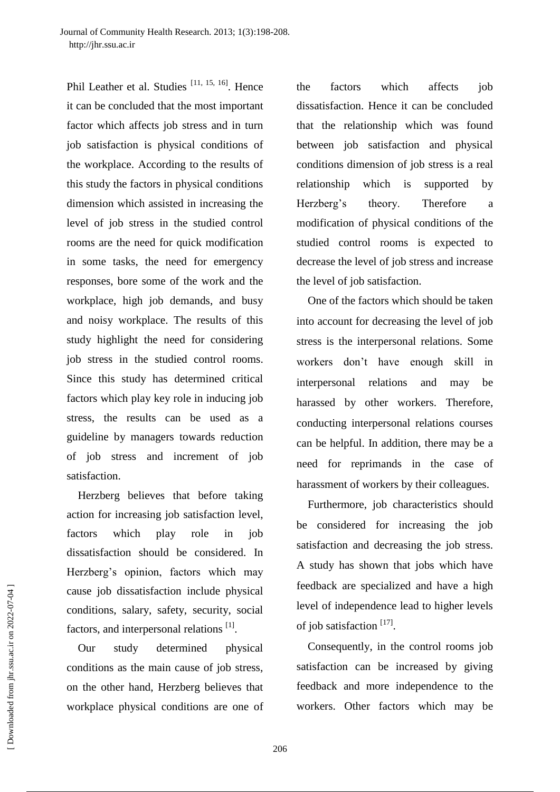Phil Leather et al. Studies<sup>[11, 15, 16]</sup>. Hence it can be concluded that the most important factor which affects job stress and in turn job satisfaction is physical conditions of the workplace. According to the results of this study the factors in physical conditions dimension which assisted in increasing the level of job stress in the studied control rooms are the need for quick modification in some tasks, the need for emergency responses, bore some of the work and the workplace, high job demands, and busy and noisy workplace. The results of this study highlight the need for considering job stress in the studied control rooms. Since this study has determined critical factors which play key role in inducing job stress, the results can be used as a guideline by managers towards reduction of job stress and increment of job satisfaction.

Herzberg believes that before taking action for increasing job satisfaction level, factors which play role in job dissatisfaction should be considered. In Herzberg's opinion, factors which may cause job dissatisfaction include physical conditions, salary, safety, security, social factors, and interpersonal relations [1].

Our study determined physical conditions as the main cause of job stress, on the other hand, Herzberg believes that workplace physical conditions are one of the factors which affects job dissatisfaction. Hence it can be concluded that the relationship which was found between job satisfaction and physical conditions dimension of job stress is a real relationship which is supported by Herzberg's theory. Therefore a modification of physical conditions of the studied control rooms is expected to decrease the level of job stress and increase the level of job satisfaction.

One of the factors which should be taken into account for decreasing the level of job stress is the interpersonal relations. Some workers don't have enough skill in interpersonal relations and may be harassed by other workers. Therefore, conducting interpersonal relations courses can be helpful. In addition, there may be a need for reprimands in the case of harassment of workers by their colleagues.

Furthermore, job characteristics should be considered for increasing the job satisfaction and decreasing the job stress. A study has shown that jobs which have feedback are specialized and have a high level of independence lead to higher levels of job satisfaction<sup>[17]</sup>.

Consequently, in the control rooms job satisfaction can be increased by giving feedback and more independence to the workers. Other factors which may be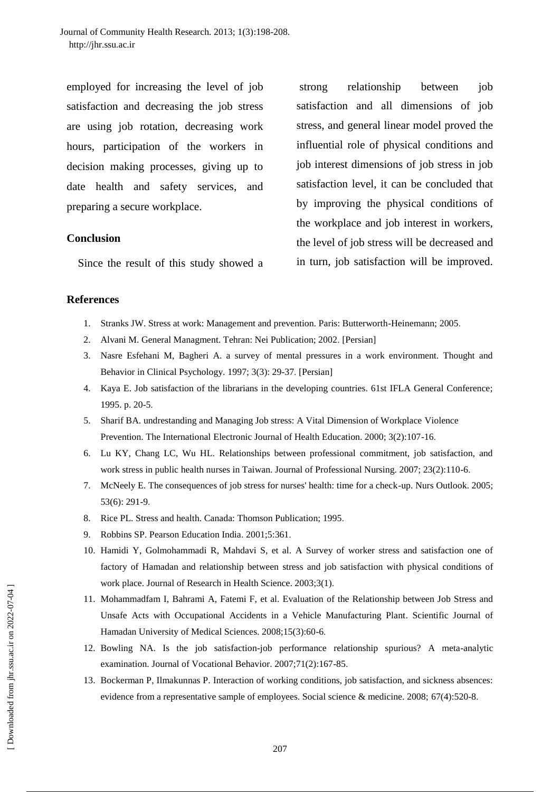employed for increasing the level of job satisfaction and decreasing the job stress are using job rotation, decreasing work hours, participation of the workers in decision making processes, giving up to date health and safety services, and preparing a secure workplace.

# **Conclusion**

Since the result of this study showed a

strong relationship between job satisfaction and all dimensions of job stress, and general linear model proved the influential role of physical conditions and job interest dimensions of job stress in job satisfaction level, it can be concluded that by improving the physical conditions of the workplace and job interest in workers, the level of job stress will be decreased and in turn, job satisfaction will be improved.

# **References**

- 1. Stranks JW. Stress at work: Management and prevention. Paris: Butterworth-Heinemann; 2005.
- 2. Alvani M. General Managment. Tehran: Nei Publication; 2002. [Persian]
- 3. Nasre Esfehani M, Bagheri A. a survey of mental pressures in a work environment. Thought and Behavior in Clinical Psychology. 1997; 3(3): 29-37. [Persian]
- 4. Kaya E. Job satisfaction of the librarians in the developing countries. 61st IFLA General Conference; 1995. p. 20-5.
- 5. Sharif BA. undrestanding and Managing Job stress: A Vital Dimension of Workplace Violence Prevention. The International Electronic Journal of Health Education. 2000; 3(2):107-16.
- 6. Lu KY, Chang LC, Wu HL. Relationships between professional commitment, job satisfaction, and work stress in public health nurses in Taiwan. Journal of Professional Nursing. 2007; 23(2):110-6.
- 7. McNeely E. The consequences of job stress for nurses' health: time for a check-up. [Nurs Outlook.](http://www.ncbi.nlm.nih.gov/pubmed/16360700) 2005; 53(6): 291-9.
- 8. Rice PL. Stress and health. Canada: Thomson Publication; 1995.
- 9. Robbins SP. Pearson Education India. 2001;5:361.
- 10. Hamidi Y, Golmohammadi R, Mahdavi S, et al. A Survey of worker stress and satisfaction one of factory of Hamadan and relationship between stress and job satisfaction with physical conditions of work place. Journal of Research in Health Science. 2003;3(1).
- 11. Mohammadfam I, Bahrami A, Fatemi F, et al. Evaluation of the Relationship between Job Stress and Unsafe Acts with Occupational Accidents in a Vehicle Manufacturing Plant. Scientific Journal of Hamadan University of Medical Sciences. 2008;15(3):60-6.
- 12. Bowling NA. Is the job satisfaction-job performance relationship spurious? A meta-analytic examination. Journal of Vocational Behavior. 2007;71(2):167-85.
- 13. Bockerman P, Ilmakunnas P. Interaction of working conditions, job satisfaction, and sickness absences: evidence from a representative sample of employees. Social science & medicine. 2008; 67(4):520-8.